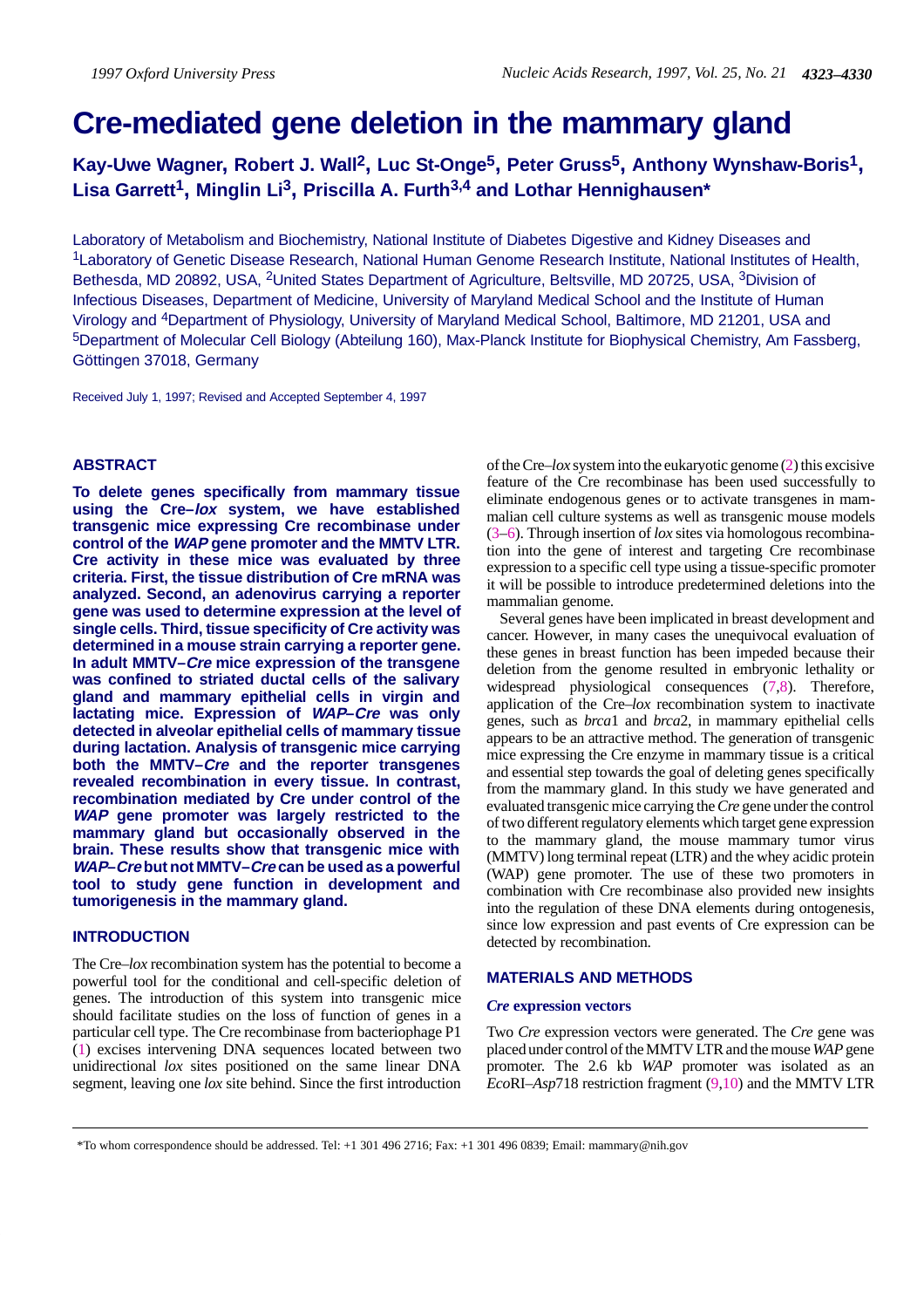# **Cre-mediated gene deletion in the mammary gland**

**Kay-Uwe Wagner, Robert J. Wall2, Luc St-Onge5, Peter Gruss5, Anthony Wynshaw-Boris1,** Lisa Garrett<sup>1</sup>, Minglin Li<sup>3</sup>, Priscilla A. Furth<sup>3,4</sup> and Lothar Hennighausen\*

Laboratory of Metabolism and Biochemistry, National Institute of Diabetes Digestive and Kidney Diseases and 1Laboratory of Genetic Disease Research, National Human Genome Research Institute, National Institutes of Health, Bethesda, MD 20892, USA, <sup>2</sup>United States Department of Agriculture, Beltsville, MD 20725, USA, <sup>3</sup>Division of Infectious Diseases, Department of Medicine, University of Maryland Medical School and the Institute of Human Virology and 4Department of Physiology, University of Maryland Medical School, Baltimore, MD 21201, USA and 5Department of Molecular Cell Biology (Abteilung 160), Max-Planck Institute for Biophysical Chemistry, Am Fassberg, Göttingen 37018, Germany

Received July 1, 1997; Revised and Accepted September 4, 1997

# **ABSTRACT**

**To delete genes specifically from mammary tissue using the Cre–lox system, we have established transgenic mice expressing Cre recombinase under control of the WAP gene promoter and the MMTV LTR. Cre activity in these mice was evaluated by three criteria. First, the tissue distribution of Cre mRNA was analyzed. Second, an adenovirus carrying a reporter gene was used to determine expression at the level of single cells. Third, tissue specificity of Cre activity was determined in a mouse strain carrying a reporter gene. In adult MMTV–Cre mice expression of the transgene was confined to striated ductal cells of the salivary gland and mammary epithelial cells in virgin and lactating mice. Expression of WAP–Cre was only detected in alveolar epithelial cells of mammary tissue during lactation. Analysis of transgenic mice carrying both the MMTV–Cre and the reporter transgenes revealed recombination in every tissue. In contrast, recombination mediated by Cre under control of the WAP gene promoter was largely restricted to the mammary gland but occasionally observed in the brain. These results show that transgenic mice with WAP–Cre but not MMTV–Cre can be used as a powerful tool to study gene function in development and tumorigenesis in the mammary gland.**

# **INTRODUCTION**

The Cre–*lox* recombination system has the potential to become a powerful tool for the conditional and cell-specific deletion of genes. The introduction of this system into transgenic mice should facilitate studies on the loss of function of genes in a particular cell type. The Cre recombinase from bacteriophage P1 (1) excises intervening DNA sequences located between two unidirectional *lox* sites positioned on the same linear DNA segment, leaving one *lox* site behind. Since the first introduction

of the Cre–*lox* system into the eukaryotic genome (2) this excisive feature of the Cre recombinase has been used successfully to eliminate endogenous genes or to activate transgenes in mammalian cell culture systems as well as transgenic mouse models (3–6). Through insertion of *lox* sites via homologous recombination into the gene of interest and targeting Cre recombinase expression to a specific cell type using a tissue-specific promoter it will be possible to introduce predetermined deletions into the mammalian genome.

Several genes have been implicated in breast development and cancer. However, in many cases the unequivocal evaluation of these genes in breast function has been impeded because their deletion from the genome resulted in embryonic lethality or widespread physiological consequences (7,8). Therefore, application of the Cre–*lox* recombination system to inactivate genes, such as *brca*1 and *brca*2, in mammary epithelial cells appears to be an attractive method. The generation of transgenic mice expressing the Cre enzyme in mammary tissue is a critical and essential step towards the goal of deleting genes specifically from the mammary gland. In this study we have generated and evaluated transgenic mice carrying the *Cre* gene under the control of two different regulatory elements which target gene expression to the mammary gland, the mouse mammary tumor virus (MMTV) long terminal repeat (LTR) and the whey acidic protein (WAP) gene promoter. The use of these two promoters in combination with Cre recombinase also provided new insights into the regulation of these DNA elements during ontogenesis, since low expression and past events of Cre expression can be detected by recombination.

## **MATERIALS AND METHODS**

## *Cre* **expression vectors**

Two *Cre* expression vectors were generated. The *Cre* gene was placed under control of the MMTV LTR and the mouse *WAP* gene promoter. The 2.6 kb *WAP* promoter was isolated as an *Eco*RI–*Asp*718 restriction fragment (9,10) and the MMTV LTR

\*To whom correspondence should be addressed. Tel: +1 301 496 2716; Fax: +1 301 496 0839; Email: mammary@nih.gov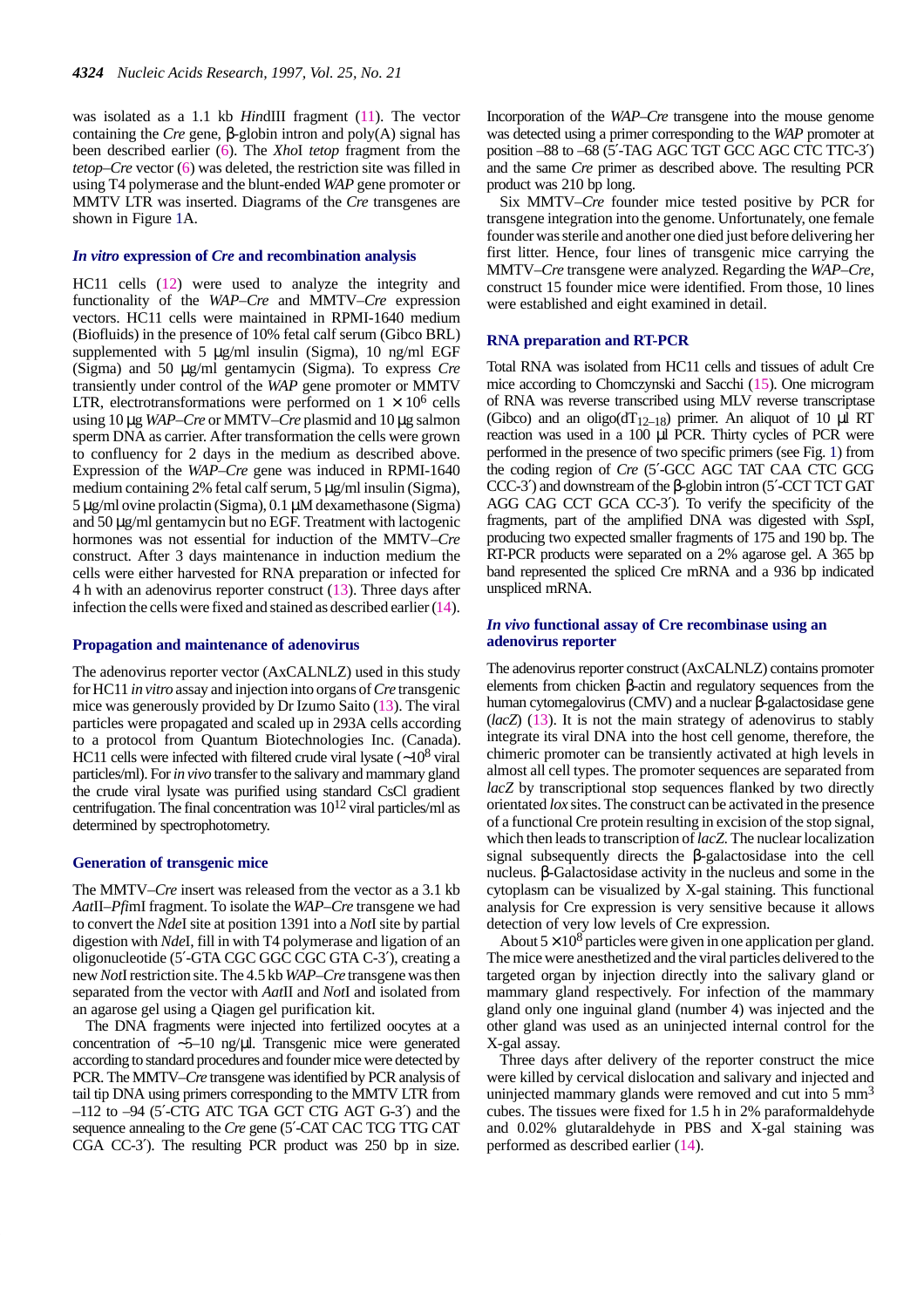was isolated as a 1.1 kb *Hin*dIII fragment (11). The vector containing the *Cre* gene, β-globin intron and poly(A) signal has been described earlier (6). The *Xho*I *tetop* fragment from the *tetop*–*Cre* vector (6) was deleted, the restriction site was filled in using T4 polymerase and the blunt-ended *WAP* gene promoter or MMTV LTR was inserted. Diagrams of the *Cre* transgenes are shown in Figure 1A.

#### *In vitro* **expression of** *Cre* **and recombination analysis**

HC11 cells (12) were used to analyze the integrity and functionality of the *WAP*–*Cre* and MMTV–*Cre* expression vectors. HC11 cells were maintained in RPMI-1640 medium (Biofluids) in the presence of 10% fetal calf serum (Gibco BRL) supplemented with 5  $\mu$ g/ml insulin (Sigma), 10 ng/ml EGF (Sigma) and 50 µg/ml gentamycin (Sigma). To express *Cre* transiently under control of the *WAP* gene promoter or MMTV LTR, electrotransformations were performed on  $1 \times 10^6$  cells using 10 µg *WAP*–*Cre* or MMTV–*Cre* plasmid and 10 µg salmon sperm DNA as carrier. After transformation the cells were grown to confluency for 2 days in the medium as described above. Expression of the *WAP*–*Cre* gene was induced in RPMI-1640 medium containing 2% fetal calf serum, 5 µg/ml insulin (Sigma), 5 µg/ml ovine prolactin (Sigma), 0.1 µM dexamethasone (Sigma) and 50 µg/ml gentamycin but no EGF. Treatment with lactogenic hormones was not essential for induction of the MMTV–*Cre* construct. After 3 days maintenance in induction medium the cells were either harvested for RNA preparation or infected for 4 h with an adenovirus reporter construct (13). Three days after infection the cells were fixed and stained as described earlier (14).

#### **Propagation and maintenance of adenovirus**

The adenovirus reporter vector (AxCALNLZ) used in this study for HC11 *in vitro* assay and injection into organs of *Cre* transgenic mice was generously provided by Dr Izumo Saito (13). The viral particles were propagated and scaled up in 293A cells according to a protocol from Quantum Biotechnologies Inc. (Canada). HC11 cells were infected with filtered crude viral lysate (∼10<sup>8</sup> viral particles/ml). For *in vivo* transfer to the salivary and mammary gland the crude viral lysate was purified using standard CsCl gradient centrifugation. The final concentration was  $10^{12}$  viral particles/ml as determined by spectrophotometry.

#### **Generation of transgenic mice**

The MMTV–*Cre* insert was released from the vector as a 3.1 kb *Aat*II–*Pfi*mI fragment. To isolate the *WAP*–*Cre* transgene we had to convert the *Nde*I site at position 1391 into a *Not*I site by partial digestion with *Nde*I, fill in with T4 polymerase and ligation of an oligonucleotide (5′-GTA CGC GGC CGC GTA C-3′), creating a new *Not*I restriction site. The 4.5 kb *WAP*–*Cre* transgene was then separated from the vector with *Aat*II and *Not*I and isolated from an agarose gel using a Qiagen gel purification kit.

The DNA fragments were injected into fertilized oocytes at a concentration of ∼5–10 ng/µl. Transgenic mice were generated according to standard procedures and founder mice were detected by PCR. The MMTV–*Cre* transgene was identified by PCR analysis of tail tip DNA using primers corresponding to the MMTV LTR from –112 to –94 (5′-CTG ATC TGA GCT CTG AGT G-3′) and the sequence annealing to the *Cre* gene (5′-CAT CAC TCG TTG CAT CGA CC-3′). The resulting PCR product was 250 bp in size.

Incorporation of the *WAP*–*Cre* transgene into the mouse genome was detected using a primer corresponding to the *WAP* promoter at position –88 to –68 (5′-TAG AGC TGT GCC AGC CTC TTC-3′) and the same *Cre* primer as described above. The resulting PCR product was 210 bp long.

Six MMTV–*Cre* founder mice tested positive by PCR for transgene integration into the genome. Unfortunately, one female founder was sterile and another one died just before delivering her first litter. Hence, four lines of transgenic mice carrying the MMTV–*Cre* transgene were analyzed. Regarding the *WAP*–*Cre*, construct 15 founder mice were identified. From those, 10 lines were established and eight examined in detail.

#### **RNA preparation and RT-PCR**

Total RNA was isolated from HC11 cells and tissues of adult Cre mice according to Chomczynski and Sacchi (15). One microgram of RNA was reverse transcribed using MLV reverse transcriptase (Gibco) and an oligo( $dT_{12-18}$ ) primer. An aliquot of 10 µl RT reaction was used in a 100 µl PCR. Thirty cycles of PCR were performed in the presence of two specific primers (see Fig. 1) from the coding region of *Cre* (5′-GCC AGC TAT CAA CTC GCG CCC-3<sup> $\prime$ </sup>) and downstream of the  $\beta$ -globin intron (5'-CCT TCT GAT AGG CAG CCT GCA CC-3′). To verify the specificity of the fragments, part of the amplified DNA was digested with *Ssp*I, producing two expected smaller fragments of 175 and 190 bp. The RT-PCR products were separated on a 2% agarose gel. A 365 bp band represented the spliced Cre mRNA and a 936 bp indicated unspliced mRNA.

#### *In vivo* **functional assay of Cre recombinase using an adenovirus reporter**

The adenovirus reporter construct (AxCALNLZ) contains promoter elements from chicken β-actin and regulatory sequences from the human cytomegalovirus (CMV) and a nuclear β-galactosidase gene (*lacZ*) (13). It is not the main strategy of adenovirus to stably integrate its viral DNA into the host cell genome, therefore, the chimeric promoter can be transiently activated at high levels in almost all cell types. The promoter sequences are separated from *lacZ* by transcriptional stop sequences flanked by two directly orientated *lox* sites. The construct can be activated in the presence of a functional Cre protein resulting in excision of the stop signal, which then leads to transcription of *lacZ*. The nuclear localization signal subsequently directs the β-galactosidase into the cell nucleus. β-Galactosidase activity in the nucleus and some in the cytoplasm can be visualized by X-gal staining. This functional analysis for Cre expression is very sensitive because it allows detection of very low levels of Cre expression.

About  $5 \times 10^8$  particles were given in one application per gland. The mice were anesthetized and the viral particles delivered to the targeted organ by injection directly into the salivary gland or mammary gland respectively. For infection of the mammary gland only one inguinal gland (number 4) was injected and the other gland was used as an uninjected internal control for the X-gal assay.

Three days after delivery of the reporter construct the mice were killed by cervical dislocation and salivary and injected and uninjected mammary glands were removed and cut into 5 mm<sup>3</sup> cubes. The tissues were fixed for 1.5 h in 2% paraformaldehyde and 0.02% glutaraldehyde in PBS and X-gal staining was performed as described earlier (14).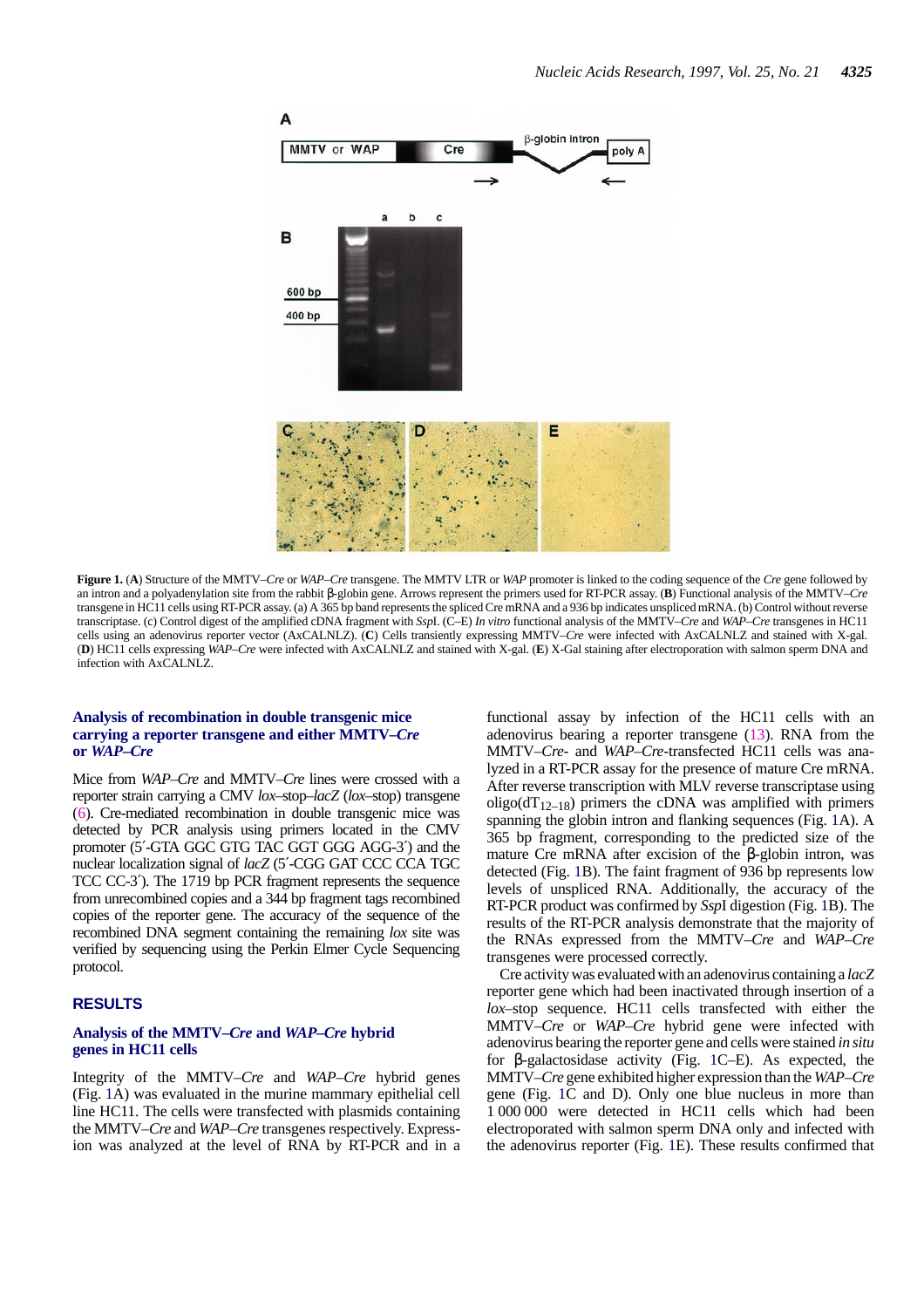

**Figure 1.** (**A**) Structure of the MMTV–*Cre* or *WAP*–*Cre* transgene. The MMTV LTR or *WAP* promoter is linked to the coding sequence of the *Cre* gene followed by an intron and a polyadenylation site from the rabbit β-globin gene. Arrows represent the primers used for RT-PCR assay. (**B**) Functional analysis of the MMTV–*Cre* transgene in HC11 cells using RT-PCR assay. (a) A 365 bp band represents the spliced Cre mRNA and a 936 bp indicates unspliced mRNA. (b) Control without reverse transcriptase. (c) Control digest of the amplified cDNA fragment with *Ssp*I. (C–E) *In vitro* functional analysis of the MMTV–*Cre* and *WAP*–*Cre* transgenes in HC11 cells using an adenovirus reporter vector (AxCALNLZ). (**C**) Cells transiently expressing MMTV–*Cre* were infected with AxCALNLZ and stained with X-gal. (**D**) HC11 cells expressing *WAP*–*Cre* were infected with AxCALNLZ and stained with X-gal. (**E**) X-Gal staining after electroporation with salmon sperm DNA and infection with AxCALNLZ.

## **Analysis of recombination in double transgenic mice carrying a reporter transgene and either MMTV–***Cre* **or** *WAP***–***Cre*

Mice from *WAP*–*Cre* and MMTV–*Cre* lines were crossed with a reporter strain carrying a CMV *lox*–stop–*lacZ* (*lox*–stop) transgene (6). Cre-mediated recombination in double transgenic mice was detected by PCR analysis using primers located in the CMV promoter (5′-GTA GGC GTG TAC GGT GGG AGG-3′) and the nuclear localization signal of *lacZ* (5′-CGG GAT CCC CCA TGC TCC CC-3′). The 1719 bp PCR fragment represents the sequence from unrecombined copies and a 344 bp fragment tags recombined copies of the reporter gene. The accuracy of the sequence of the recombined DNA segment containing the remaining *lox* site was verified by sequencing using the Perkin Elmer Cycle Sequencing protocol.

## **RESULTS**

## **Analysis of the MMTV–***Cre* **and** *WAP***–***Cre* **hybrid genes in HC11 cells**

Integrity of the MMTV–*Cre* and *WAP*–*Cre* hybrid genes (Fig. 1A) was evaluated in the murine mammary epithelial cell line HC11. The cells were transfected with plasmids containing the MMTV–*Cre* and *WAP*–*Cre* transgenes respectively. Expression was analyzed at the level of RNA by RT-PCR and in a functional assay by infection of the HC11 cells with an adenovirus bearing a reporter transgene (13). RNA from the MMTV–*Cre*- and *WAP*–*Cre*-transfected HC11 cells was analyzed in a RT-PCR assay for the presence of mature Cre mRNA. After reverse transcription with MLV reverse transcriptase using oligo( $dT_{12-18}$ ) primers the cDNA was amplified with primers spanning the globin intron and flanking sequences (Fig. 1A). A 365 bp fragment, corresponding to the predicted size of the mature Cre mRNA after excision of the β-globin intron, was detected (Fig. 1B). The faint fragment of 936 bp represents low levels of unspliced RNA. Additionally, the accuracy of the RT-PCR product was confirmed by *Ssp*I digestion (Fig. 1B). The results of the RT-PCR analysis demonstrate that the majority of the RNAs expressed from the MMTV–*Cre* and *WAP*–*Cre* transgenes were processed correctly.

Cre activity was evaluated with an adenovirus containing a *lacZ* reporter gene which had been inactivated through insertion of a *lox*–stop sequence. HC11 cells transfected with either the MMTV–*Cre* or *WAP*–*Cre* hybrid gene were infected with adenovirus bearing the reporter gene and cells were stained *in situ* for β-galactosidase activity (Fig. 1C–E). As expected, the MMTV–*Cre* gene exhibited higher expression than the *WAP*–*Cre* gene (Fig. 1C and D). Only one blue nucleus in more than 1 000 000 were detected in HC11 cells which had been electroporated with salmon sperm DNA only and infected with the adenovirus reporter (Fig. 1E). These results confirmed that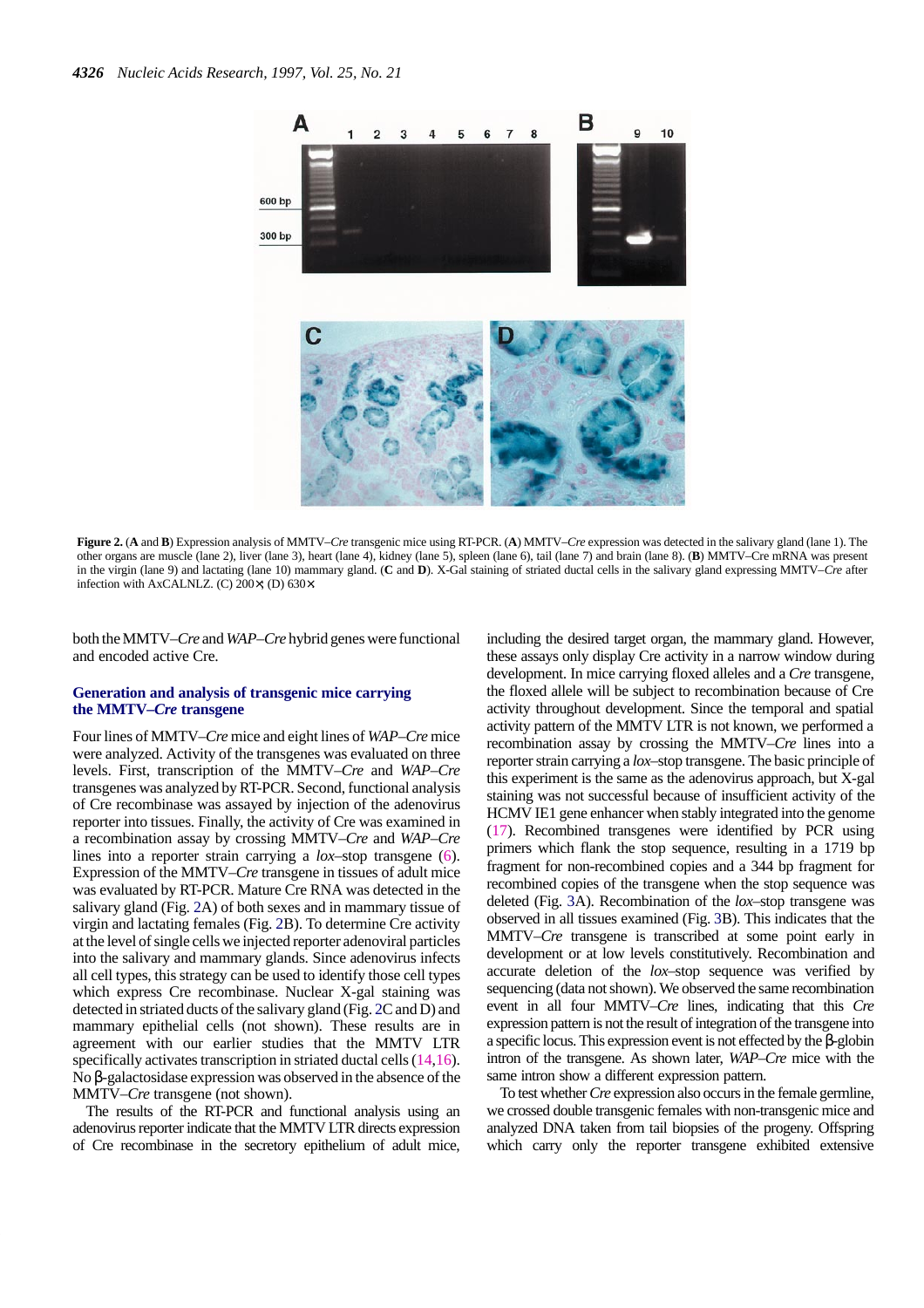

**Figure 2.** (**A** and **B**) Expression analysis of MMTV–*Cre* transgenic mice using RT-PCR. (**A**) MMTV–*Cre* expression was detected in the salivary gland (lane 1). The other organs are muscle (lane 2), liver (lane 3), heart (lane 4), kidney (lane 5), spleen (lane 6), tail (lane 7) and brain (lane 8). (**B**) MMTV–Cre mRNA was present in the virgin (lane 9) and lactating (lane 10) mammary gland. (**C** and **D**). X-Gal staining of striated ductal cells in the salivary gland expressing MMTV–*Cre* after infection with AxCALNLZ. (C) 200×; (D) 630×.

both the MMTV–*Cre* and *WAP*–*Cre* hybrid genes were functional and encoded active Cre.

#### **Generation and analysis of transgenic mice carrying the MMTV–***Cre* **transgene**

Four lines of MMTV–*Cre* mice and eight lines of *WAP*–*Cre* mice were analyzed. Activity of the transgenes was evaluated on three levels. First, transcription of the MMTV–*Cre* and *WAP*–*Cre* transgenes was analyzed by RT-PCR. Second, functional analysis of Cre recombinase was assayed by injection of the adenovirus reporter into tissues. Finally, the activity of Cre was examined in a recombination assay by crossing MMTV–*Cre* and *WAP*–*Cre* lines into a reporter strain carrying a *lox*–stop transgene (6). Expression of the MMTV–*Cre* transgene in tissues of adult mice was evaluated by RT-PCR. Mature Cre RNA was detected in the salivary gland (Fig. 2A) of both sexes and in mammary tissue of virgin and lactating females (Fig. 2B). To determine Cre activity at the level of single cells we injected reporter adenoviral particles into the salivary and mammary glands. Since adenovirus infects all cell types, this strategy can be used to identify those cell types which express Cre recombinase. Nuclear X-gal staining was detected in striated ducts of the salivary gland (Fig. 2C and D) and mammary epithelial cells (not shown). These results are in agreement with our earlier studies that the MMTV LTR specifically activates transcription in striated ductal cells (14,16). No β-galactosidase expression was observed in the absence of the MMTV–*Cre* transgene (not shown).

The results of the RT-PCR and functional analysis using an adenovirus reporter indicate that the MMTV LTR directs expression of Cre recombinase in the secretory epithelium of adult mice,

including the desired target organ, the mammary gland. However, these assays only display Cre activity in a narrow window during development. In mice carrying floxed alleles and a *Cre* transgene, the floxed allele will be subject to recombination because of Cre activity throughout development. Since the temporal and spatial activity pattern of the MMTV LTR is not known, we performed a recombination assay by crossing the MMTV–*Cre* lines into a reporter strain carrying a *lox*–stop transgene. The basic principle of this experiment is the same as the adenovirus approach, but X-gal staining was not successful because of insufficient activity of the HCMV IE1 gene enhancer when stably integrated into the genome (17). Recombined transgenes were identified by PCR using primers which flank the stop sequence, resulting in a 1719 bp fragment for non-recombined copies and a 344 bp fragment for recombined copies of the transgene when the stop sequence was deleted (Fig. 3A). Recombination of the *lox*–stop transgene was observed in all tissues examined (Fig. 3B). This indicates that the MMTV–*Cre* transgene is transcribed at some point early in development or at low levels constitutively. Recombination and accurate deletion of the *lox*–stop sequence was verified by sequencing (data not shown). We observed the same recombination event in all four MMTV–*Cre* lines, indicating that this *Cre* expression pattern is not the result of integration of the transgene into a specific locus. This expression event is not effected by the β-globin intron of the transgene. As shown later, *WAP*–*Cre* mice with the same intron show a different expression pattern.

To test whether *Cre* expression also occurs in the female germline, we crossed double transgenic females with non-transgenic mice and analyzed DNA taken from tail biopsies of the progeny. Offspring which carry only the reporter transgene exhibited extensive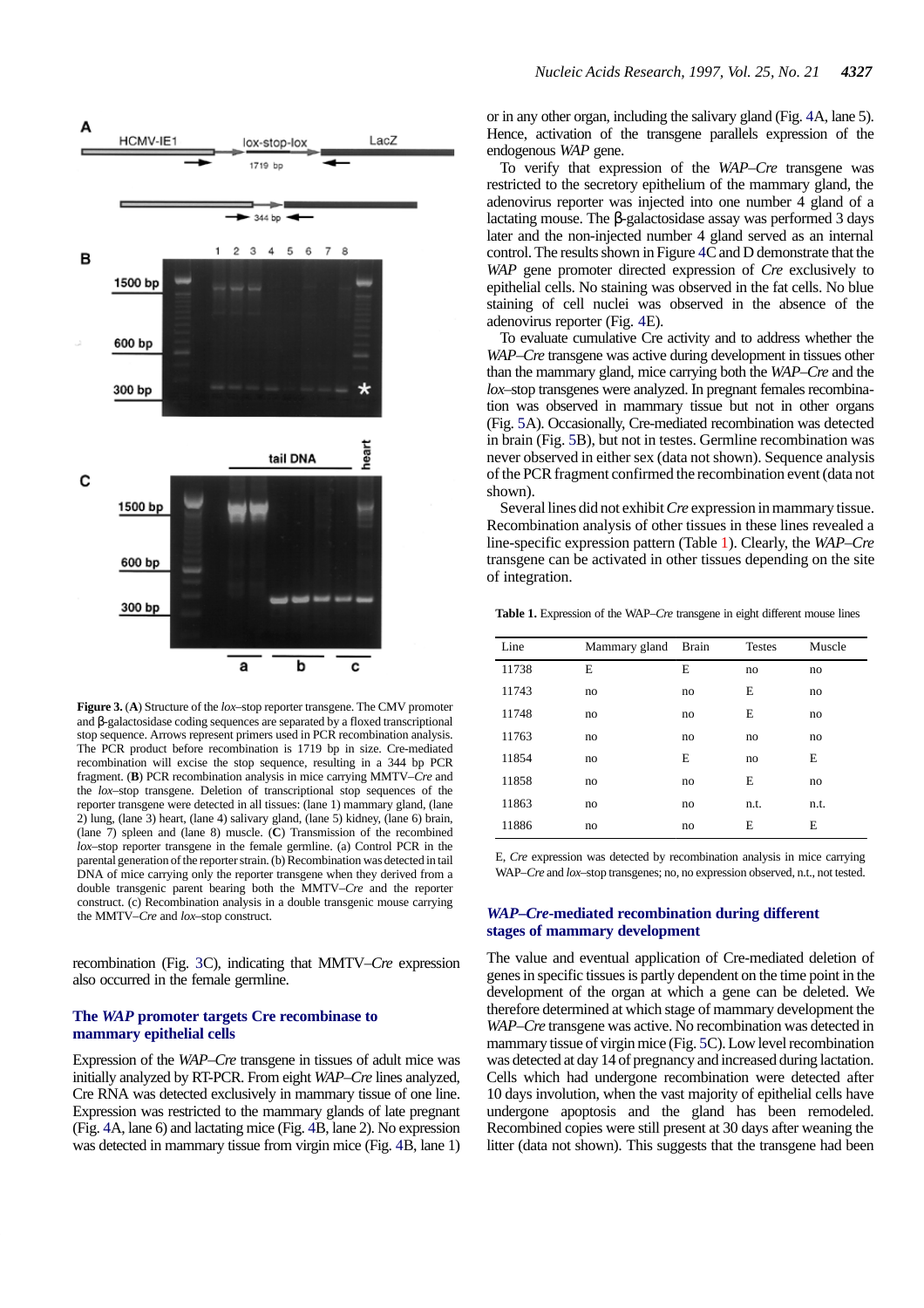

**Figure 3.** (**A**) Structure of the *lox*–stop reporter transgene. The CMV promoter and β-galactosidase coding sequences are separated by a floxed transcriptional stop sequence. Arrows represent primers used in PCR recombination analysis. The PCR product before recombination is 1719 bp in size. Cre-mediated recombination will excise the stop sequence, resulting in a 344 bp PCR fragment. (**B**) PCR recombination analysis in mice carrying MMTV–*Cre* and the *lox*–stop transgene. Deletion of transcriptional stop sequences of the reporter transgene were detected in all tissues: (lane 1) mammary gland, (lane 2) lung, (lane 3) heart, (lane 4) salivary gland, (lane 5) kidney, (lane 6) brain, (lane 7) spleen and (lane 8) muscle. (**C**) Transmission of the recombined *lox*–stop reporter transgene in the female germline. (a) Control PCR in the parental generation of the reporter strain. (b) Recombination was detected in tail DNA of mice carrying only the reporter transgene when they derived from a double transgenic parent bearing both the MMTV–*Cre* and the reporter construct. (c) Recombination analysis in a double transgenic mouse carrying the MMTV–*Cre* and *lox*–stop construct.

recombination (Fig. 3C), indicating that MMTV–*Cre* expression also occurred in the female germline.

### **The** *WAP* **promoter targets Cre recombinase to mammary epithelial cells**

Expression of the *WAP*–*Cre* transgene in tissues of adult mice was initially analyzed by RT-PCR. From eight *WAP*–*Cre* lines analyzed, Cre RNA was detected exclusively in mammary tissue of one line. Expression was restricted to the mammary glands of late pregnant (Fig. 4A, lane 6) and lactating mice (Fig. 4B, lane 2). No expression was detected in mammary tissue from virgin mice (Fig. 4B, lane 1)

or in any other organ, including the salivary gland (Fig. 4A, lane 5). Hence, activation of the transgene parallels expression of the endogenous *WAP* gene.

To verify that expression of the *WAP*–*Cre* transgene was restricted to the secretory epithelium of the mammary gland, the adenovirus reporter was injected into one number 4 gland of a lactating mouse. The β-galactosidase assay was performed 3 days later and the non-injected number 4 gland served as an internal control. The results shown in Figure 4C and D demonstrate that the *WAP* gene promoter directed expression of *Cre* exclusively to epithelial cells. No staining was observed in the fat cells. No blue staining of cell nuclei was observed in the absence of the adenovirus reporter (Fig. 4E).

To evaluate cumulative Cre activity and to address whether the *WAP*–*Cre* transgene was active during development in tissues other than the mammary gland, mice carrying both the *WAP*–*Cre* and the *lox*–stop transgenes were analyzed. In pregnant females recombination was observed in mammary tissue but not in other organs (Fig. 5A). Occasionally, Cre-mediated recombination was detected in brain (Fig. 5B), but not in testes. Germline recombination was never observed in either sex (data not shown). Sequence analysis of the PCR fragment confirmed the recombination event (data not shown).

Several lines did not exhibit *Cre* expression in mammary tissue. Recombination analysis of other tissues in these lines revealed a line-specific expression pattern (Table 1). Clearly, the *WAP*–*Cre* transgene can be activated in other tissues depending on the site of integration.

**Table 1.** Expression of the WAP–*Cre* transgene in eight different mouse lines

| Line  | Mammary gland | Brain | <b>Testes</b> | Muscle |
|-------|---------------|-------|---------------|--------|
| 11738 | E             | E     | no            | no     |
| 11743 | no            | no    | E             | no     |
| 11748 | no            | no    | E             | no     |
| 11763 | no            | no    | no            | no     |
| 11854 | no            | E     | no            | E      |
| 11858 | no            | no    | E             | no     |
| 11863 | no            | no    | n.t.          | n.t.   |
| 11886 | no            | no    | E             | E      |

E, *Cre* expression was detected by recombination analysis in mice carrying WAP–*Cre* and *lox*–stop transgenes; no, no expression observed, n.t., not tested.

#### *WAP***–***Cre***-mediated recombination during different stages of mammary development**

The value and eventual application of Cre-mediated deletion of genes in specific tissues is partly dependent on the time point in the development of the organ at which a gene can be deleted. We therefore determined at which stage of mammary development the *WAP*–*Cre* transgene was active. No recombination was detected in mammary tissue of virgin mice (Fig. 5C). Low level recombination was detected at day 14 of pregnancy and increased during lactation. Cells which had undergone recombination were detected after 10 days involution, when the vast majority of epithelial cells have undergone apoptosis and the gland has been remodeled. Recombined copies were still present at 30 days after weaning the litter (data not shown). This suggests that the transgene had been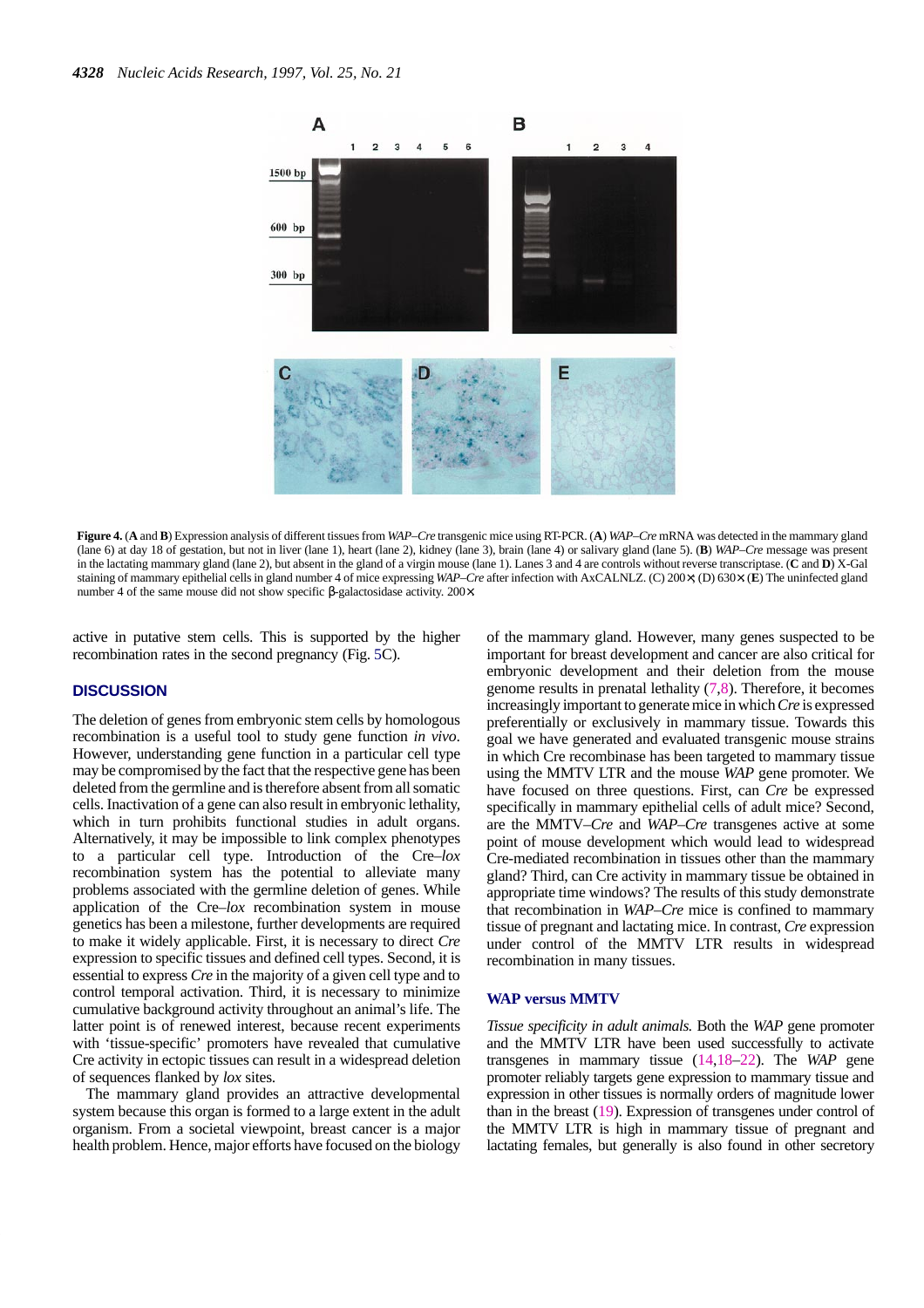

**Figure 4.** (**A** and **B**) Expression analysis of different tissues from *WAP*–*Cre* transgenic mice using RT-PCR. (**A**) *WAP*–*Cre* mRNA was detected in the mammary gland (lane 6) at day 18 of gestation, but not in liver (lane 1), heart (lane 2), kidney (lane 3), brain (lane 4) or salivary gland (lane 5). (**B**) *WAP*–*Cre* message was present in the lactating mammary gland (lane 2), but absent in the gland of a virgin mouse (lane 1). Lanes 3 and 4 are controls without reverse transcriptase. (**C** and **D**) X-Gal staining of mammary epithelial cells in gland number 4 of mice expressing *WAP*–*Cre* after infection with AxCALNLZ. (C) 200×; (D) 630×. (**E**) The uninfected gland number 4 of the same mouse did not show specific β-galactosidase activity. 200×.

active in putative stem cells. This is supported by the higher recombination rates in the second pregnancy (Fig. 5C).

## **DISCUSSION**

The deletion of genes from embryonic stem cells by homologous recombination is a useful tool to study gene function *in vivo*. However, understanding gene function in a particular cell type may be compromised by the fact that the respective gene has been deleted from the germline and is therefore absent from all somatic cells. Inactivation of a gene can also result in embryonic lethality, which in turn prohibits functional studies in adult organs. Alternatively, it may be impossible to link complex phenotypes to a particular cell type. Introduction of the Cre–*lox* recombination system has the potential to alleviate many problems associated with the germline deletion of genes. While application of the Cre–*lox* recombination system in mouse genetics has been a milestone, further developments are required to make it widely applicable. First, it is necessary to direct *Cre* expression to specific tissues and defined cell types. Second, it is essential to express *Cre* in the majority of a given cell type and to control temporal activation. Third, it is necessary to minimize cumulative background activity throughout an animal's life. The latter point is of renewed interest, because recent experiments with 'tissue-specific' promoters have revealed that cumulative Cre activity in ectopic tissues can result in a widespread deletion of sequences flanked by *lox* sites.

The mammary gland provides an attractive developmental system because this organ is formed to a large extent in the adult organism. From a societal viewpoint, breast cancer is a major health problem. Hence, major efforts have focused on the biology

of the mammary gland. However, many genes suspected to be important for breast development and cancer are also critical for embryonic development and their deletion from the mouse genome results in prenatal lethality (7,8). Therefore, it becomes increasingly important to generate mice in which *Cre* is expressed preferentially or exclusively in mammary tissue. Towards this goal we have generated and evaluated transgenic mouse strains in which Cre recombinase has been targeted to mammary tissue using the MMTV LTR and the mouse *WAP* gene promoter. We have focused on three questions. First, can *Cre* be expressed specifically in mammary epithelial cells of adult mice? Second, are the MMTV–*Cre* and *WAP*–*Cre* transgenes active at some point of mouse development which would lead to widespread Cre-mediated recombination in tissues other than the mammary gland? Third, can Cre activity in mammary tissue be obtained in appropriate time windows? The results of this study demonstrate that recombination in *WAP*–*Cre* mice is confined to mammary tissue of pregnant and lactating mice. In contrast, *Cre* expression under control of the MMTV LTR results in widespread recombination in many tissues.

#### **WAP versus MMTV**

*Tissue specificity in adult animals.* Both the *WAP* gene promoter and the MMTV LTR have been used successfully to activate transgenes in mammary tissue (14,18–22). The *WAP* gene promoter reliably targets gene expression to mammary tissue and expression in other tissues is normally orders of magnitude lower than in the breast (19). Expression of transgenes under control of the MMTV LTR is high in mammary tissue of pregnant and lactating females, but generally is also found in other secretory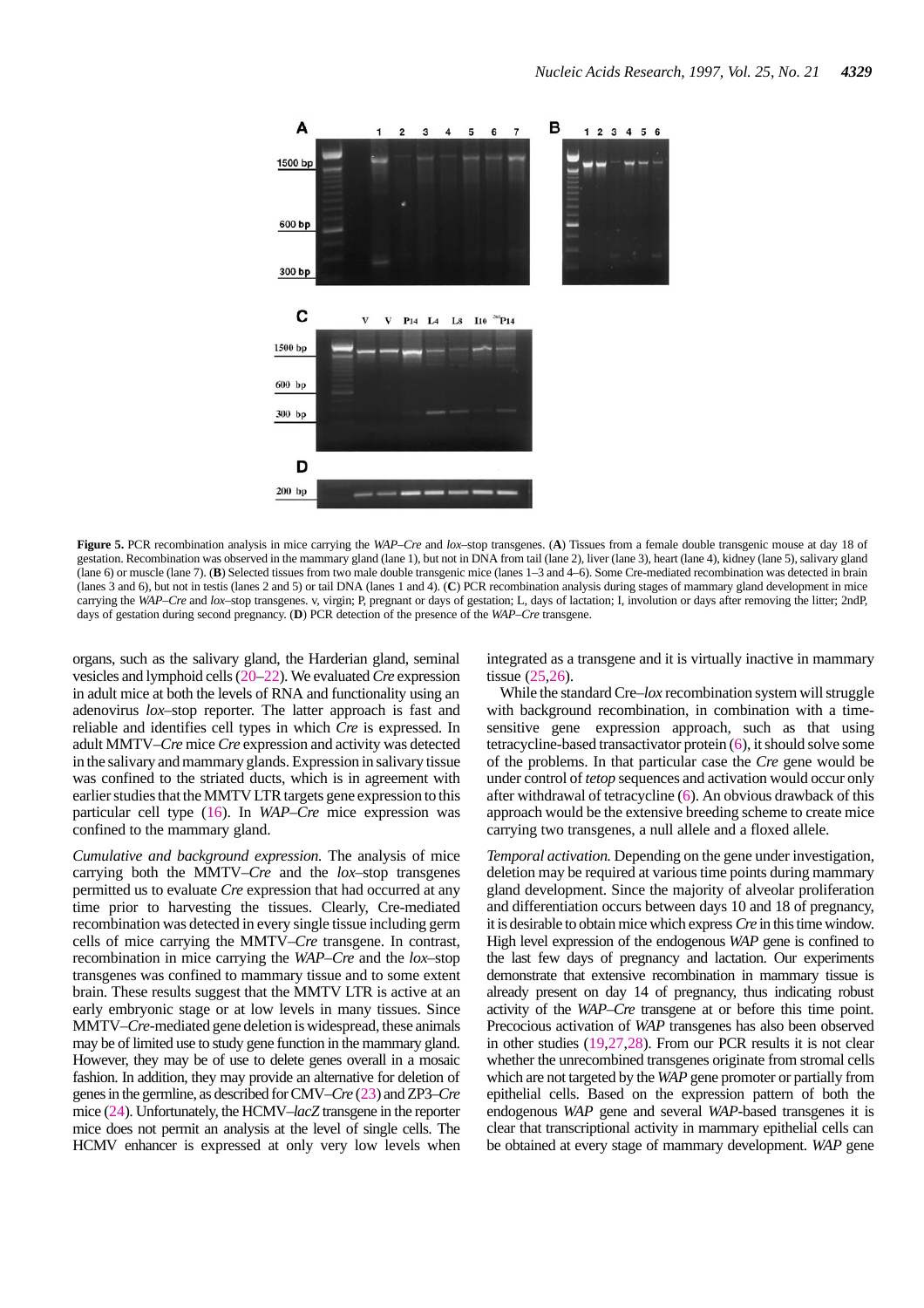

**Figure 5.** PCR recombination analysis in mice carrying the *WAP*–*Cre* and *lox*–stop transgenes. (**A**) Tissues from a female double transgenic mouse at day 18 of gestation. Recombination was observed in the mammary gland (lane 1), but not in DNA from tail (lane 2), liver (lane 3), heart (lane 4), kidney (lane 5), salivary gland (lane 6) or muscle (lane 7). (**B**) Selected tissues from two male double transgenic mice (lanes 1–3 and 4–6). Some Cre-mediated recombination was detected in brain (lanes 3 and 6), but not in testis (lanes 2 and 5) or tail DNA (lanes 1 and 4). (**C**) PCR recombination analysis during stages of mammary gland development in mice carrying the WAP–Cre and lox-stop transgenes. v, virgin; P, pregnant or days of gestation; L, days of lactation; I, involution or days after removing the litter; 2ndP, days of gestation during second pregnancy. (**D**) PCR detection of the presence of the *WAP*–*Cre* transgene.

organs, such as the salivary gland, the Harderian gland, seminal vesicles and lymphoid cells (20–22). We evaluated *Cre* expression in adult mice at both the levels of RNA and functionality using an adenovirus *lox*–stop reporter. The latter approach is fast and reliable and identifies cell types in which *Cre* is expressed. In adult MMTV–*Cre* mice *Cre* expression and activity was detected in the salivary and mammary glands. Expression in salivary tissue was confined to the striated ducts, which is in agreement with earlier studies that the MMTV LTR targets gene expression to this particular cell type (16). In *WAP*–*Cre* mice expression was confined to the mammary gland.

*Cumulative and background expression.* The analysis of mice carrying both the MMTV–*Cre* and the *lox*–stop transgenes permitted us to evaluate *Cre* expression that had occurred at any time prior to harvesting the tissues. Clearly, Cre-mediated recombination was detected in every single tissue including germ cells of mice carrying the MMTV–*Cre* transgene. In contrast, recombination in mice carrying the *WAP*–*Cre* and the *lox*–stop transgenes was confined to mammary tissue and to some extent brain. These results suggest that the MMTV LTR is active at an early embryonic stage or at low levels in many tissues. Since MMTV–*Cre*-mediated gene deletion is widespread, these animals may be of limited use to study gene function in the mammary gland. However, they may be of use to delete genes overall in a mosaic fashion. In addition, they may provide an alternative for deletion of genes in the germline, as described for CMV–*Cre* (23) and ZP3–*Cre* mice (24). Unfortunately, the HCMV–*lacZ* transgene in the reporter mice does not permit an analysis at the level of single cells. The HCMV enhancer is expressed at only very low levels when integrated as a transgene and it is virtually inactive in mammary tissue (25,26).

While the standard Cre–*lox* recombination system will struggle with background recombination, in combination with a timesensitive gene expression approach, such as that using tetracycline-based transactivator protein (6), it should solve some of the problems. In that particular case the *Cre* gene would be under control of *tetop* sequences and activation would occur only after withdrawal of tetracycline (6). An obvious drawback of this approach would be the extensive breeding scheme to create mice carrying two transgenes, a null allele and a floxed allele.

*Temporal activation.* Depending on the gene under investigation, deletion may be required at various time points during mammary gland development. Since the majority of alveolar proliferation and differentiation occurs between days 10 and 18 of pregnancy, it is desirable to obtain mice which express *Cre* in this time window. High level expression of the endogenous *WAP* gene is confined to the last few days of pregnancy and lactation. Our experiments demonstrate that extensive recombination in mammary tissue is already present on day 14 of pregnancy, thus indicating robust activity of the *WAP*–*Cre* transgene at or before this time point. Precocious activation of *WAP* transgenes has also been observed in other studies (19,27,28). From our PCR results it is not clear whether the unrecombined transgenes originate from stromal cells which are not targeted by the *WAP* gene promoter or partially from epithelial cells. Based on the expression pattern of both the endogenous *WAP* gene and several *WAP*-based transgenes it is clear that transcriptional activity in mammary epithelial cells can be obtained at every stage of mammary development. *WAP* gene